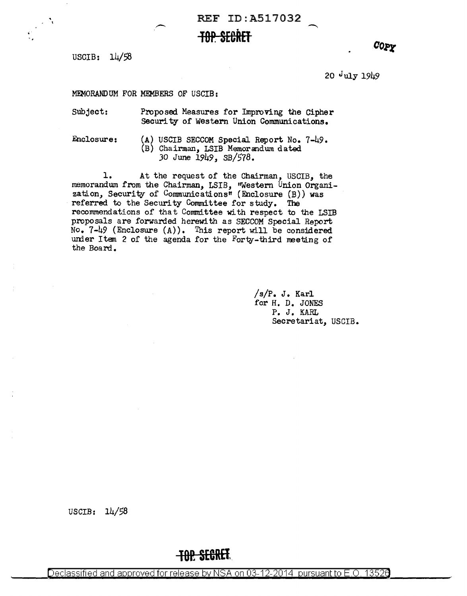REF ID:A517032 **TOP. SE6RET** 

USCIB: 14/58

COPY

20 July 1949

MEMORANDUM FOR MEMBERS OF USCIB:

Subject: Proposed Measures for Improving the Cipher Security of western Union Communications.

Enclosure:

(A) USCIB SECCOM Special Report No. 7-49. (B) Chairman, LSIB Memorandwn dated JO June 1949, SB/578.

1. At the request of the Chairman, USCIB, the memorandwn from the Chairman, LSIB, ''Western Union Organization, Security of Communications" (Enclosure (B)) was referred to the Security Committee for study. The recommendations of that Committee with respect to the LSIB proposals are forwarded herewith as SECCOM Special Report  $No. 7-49$  (Enclosure  $(A)$ ). This report will be considered under Item 2 of the agenda for the Forty-third meeting of the Board.

> /s/P. J. Karl for H. D. JONES P. J. KARL Secretariat, USCIB.

USCIB: 14/58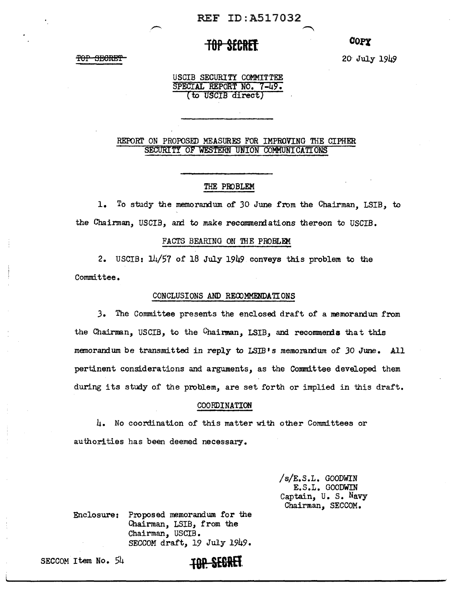## **TOP SfCRft**

<del>TOP SECRET</del>

20· July 1949

*con* 

USCIB SECURITY COMMITTEE SPECIAL REPORT NO. **7-49.**  (tO USCIB direct)

### REPORT ON PROPOSED MEASURES FOR IMPROVING THE CIPHER SECURITY OF WESTERN UNION COMMUNICATIONS

### THE PIDBLEM

1. To study the memorandum of 30 June from the Chairman, LSIB, to the Chairman, USCIB, and to make recommendations thereon to USCIB.

#### FACTS BEARING ON THE PROBLEM

2. USCIB: 14/57 of 18 July 1949 conveys this problem to the Committee.

### CONCLUSIONS AND RECDMMENDATIONS

J. The Conunittee presents the enclosed draft of a memoranium from the Chairman, USCIB, to the Chairman, LSIB, and recommends that this memorandum be transmitted in reply to LSIB's memorandum of 30 June. All pertinent considerations and arguments, as the Committee developed them during its study of the problem, are set forth or implied in this draft.

#### COORDINATION

4. No coordination of' this matter with other Committees or authorities has been deemed necessary.

> /s/E.S.L. GOODWIN E.S.L. GOODWIN Captain, u. s. Navy Chairman, SECCOM.

Enclosure: Proposed memorandum for the Chairman, LSIB, from the Chairman, USCIB • SECCOM draft, 19 July 1949.

SECCOM Item No. 54 **tQP SEGRET**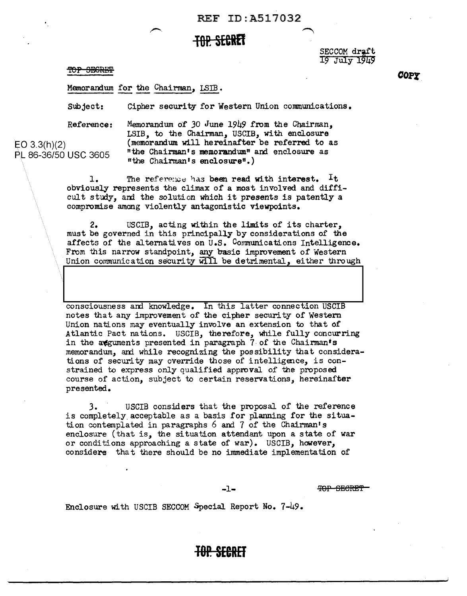### **TBR sEeREI**

TOP SEGRET

SECCOM draft 19 July 1949

Memorandum for the Chairman, LSIB •

Subject: Cipher security for Western Union communications.

Reference:

EO 3.3(h)(2)

Memorandum of 30 June 1949 from the Chairman, LSIB, to the Chairman, USCIB, with enclosure (memorandum will hereinafter be referred to as PL 86-36/50 USC 3605 "the Chairman's memorandum<sup>"</sup> and enclosure as "the Chairman• s enclosure".)

> 1. The reference has been read with interest.  $I$ t obviously represents the climax of a most involved and diffi- $\text{cut study, and the solution which it presents is patently a}$ compromise among violently antagonistic viewpoints.

2. USCIB, acting within the limits of its charter, must be governed in this principally by considerations of the affects of the alternatives on U.S. Communications Intelligence. From this narrow standpoint, any basic improvement of Western Union communication security will be detrimental, either through

consciousness and knowledge. In this latter connection USCIB notes that any improvement of the cipher security of Western Union nations may eventually involve an extension to that of Atlantic Pact nations. USCIB, therefore, while fully concurring in the agguments presented in paragraph  $7$  of the Chairman's memorandum, and while recognizing the possibility that considerations of security may override those of intelligence, is constrained to express only qualified approval of the proposed course of action, subject to certain reservations, hereinafter presented.

*3.* USCIB considers that the proposal of the reference is completely acceptable as a basis for planning for the situation contemplated in paragraphs  $6$  and  $7$  of the Chairman's enclosure (that is, the situation attendant upon a state of war or conditions approaching a state of war). USCIB, however, considers that there should be no immediate implementation of

-1- 'POP SECRET'

Enclosure with USCIB SECCOM Special Report No. 7-49.

*con* 

**JOP. SEERET**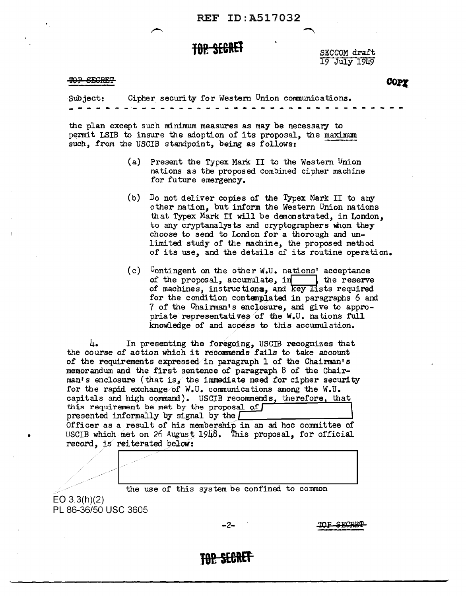# **TOP. SECRET** SECCOM draft

19 July 1949

#### TOP SEGRET

COPY

Subject:<br>------Cipher security for Western Union conununications.

the plan except such minimum measures as may be necessary to permit LSIB to insure the adoption of its proposal, the maximum such, from the USCIB standpoint, being as follows:

- (a) Present the Typex Mark II to the Western Union nations as the proposed combined cipher machine for future emergency.
- (b) Do not deliver copies of the Typex Mark II to any other nation, but inform the Western Union nations that Typex Mark II will be demonstrated, in London, to any cryptanalysts and cryptographers whom they choose to send to London for a thorough and unlimited study of the machine, the proposed method of its use, and the details of its routine operation.
- (c) Contingent on the other W.U. nations' acceptance of the proposal, accumulate, in  $\parallel$  the reserve of machines, instructions, and key lists required for the condition contemplated in paragraphs 6 and 7 of the Chairman's enclosure, and give to appropriate representatives of the  $W<sub>e</sub>U<sub>e</sub>$  nations full knowledge of and access to this accumulation.

4. In presenting the foregoing, USCIB recognizes that the course of action which it recommends fails to take account of the requirements expressed in paragraph 1 of the Chairman's memorandum and the first sentence of paragraph 8 of the Chairman's enclosure (that is, the immediate need for cipher security for the rapid exchange of W.U. communications among the W.U. capitals and high command). USCIB recommends, therefore, that this requirement be met by the proposal of presented informally by signal by the  $\boxed{\phantom{a}}$ Officer as a result of his membership in an ad hoc committee of • USCIB which. met on 26 August, 1948. This proposal, for official record, is reiterated below: ment be met by the proposal of<br>mformally by signal by the <u>formulation</u><br>informally by signal by the function of the secult of his membership in an ad hoc committee of<br>met on 26 August 1948. This proposal, for official<br>reit



EO 3.3(h)(2) PL 86-36/50 USC 3605

-2-

TOP SECRET

**JO! SEBRtl**